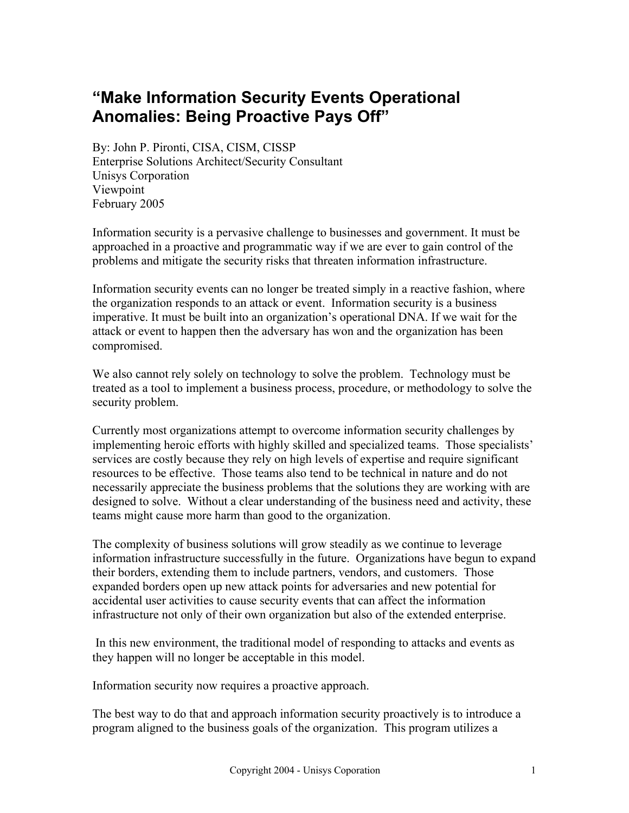## **"Make Information Security Events Operational Anomalies: Being Proactive Pays Off"**

By: John P. Pironti, CISA, CISM, CISSP Enterprise Solutions Architect/Security Consultant Unisys Corporation Viewpoint February 2005

Information security is a pervasive challenge to businesses and government. It must be approached in a proactive and programmatic way if we are ever to gain control of the problems and mitigate the security risks that threaten information infrastructure.

Information security events can no longer be treated simply in a reactive fashion, where the organization responds to an attack or event. Information security is a business imperative. It must be built into an organization's operational DNA. If we wait for the attack or event to happen then the adversary has won and the organization has been compromised.

We also cannot rely solely on technology to solve the problem. Technology must be treated as a tool to implement a business process, procedure, or methodology to solve the security problem.

Currently most organizations attempt to overcome information security challenges by implementing heroic efforts with highly skilled and specialized teams. Those specialists' services are costly because they rely on high levels of expertise and require significant resources to be effective. Those teams also tend to be technical in nature and do not necessarily appreciate the business problems that the solutions they are working with are designed to solve. Without a clear understanding of the business need and activity, these teams might cause more harm than good to the organization.

The complexity of business solutions will grow steadily as we continue to leverage information infrastructure successfully in the future. Organizations have begun to expand their borders, extending them to include partners, vendors, and customers. Those expanded borders open up new attack points for adversaries and new potential for accidental user activities to cause security events that can affect the information infrastructure not only of their own organization but also of the extended enterprise.

 In this new environment, the traditional model of responding to attacks and events as they happen will no longer be acceptable in this model.

Information security now requires a proactive approach.

The best way to do that and approach information security proactively is to introduce a program aligned to the business goals of the organization. This program utilizes a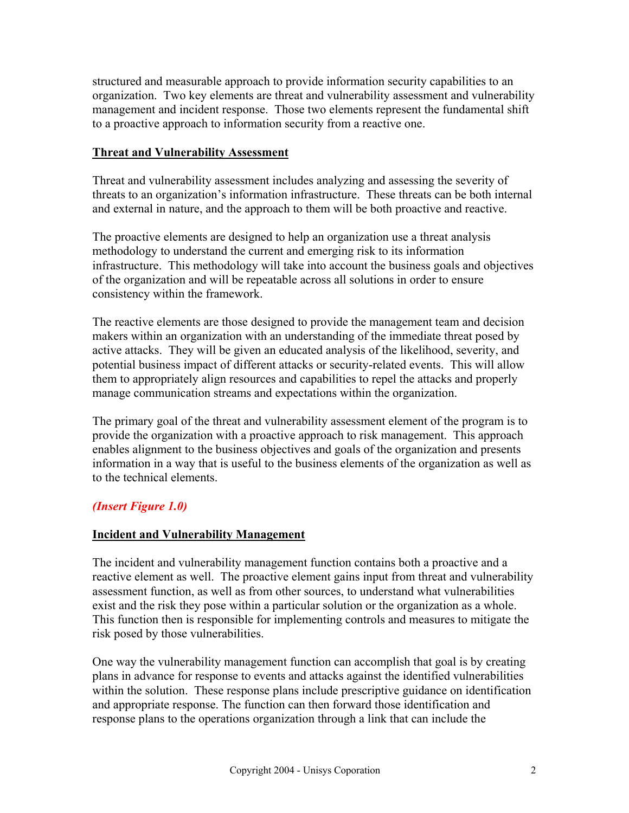structured and measurable approach to provide information security capabilities to an organization. Two key elements are threat and vulnerability assessment and vulnerability management and incident response. Those two elements represent the fundamental shift to a proactive approach to information security from a reactive one.

#### **Threat and Vulnerability Assessment**

Threat and vulnerability assessment includes analyzing and assessing the severity of threats to an organization's information infrastructure. These threats can be both internal and external in nature, and the approach to them will be both proactive and reactive.

The proactive elements are designed to help an organization use a threat analysis methodology to understand the current and emerging risk to its information infrastructure. This methodology will take into account the business goals and objectives of the organization and will be repeatable across all solutions in order to ensure consistency within the framework.

The reactive elements are those designed to provide the management team and decision makers within an organization with an understanding of the immediate threat posed by active attacks. They will be given an educated analysis of the likelihood, severity, and potential business impact of different attacks or security-related events. This will allow them to appropriately align resources and capabilities to repel the attacks and properly manage communication streams and expectations within the organization.

The primary goal of the threat and vulnerability assessment element of the program is to provide the organization with a proactive approach to risk management. This approach enables alignment to the business objectives and goals of the organization and presents information in a way that is useful to the business elements of the organization as well as to the technical elements.

### *(Insert Figure 1.0)*

#### **Incident and Vulnerability Management**

The incident and vulnerability management function contains both a proactive and a reactive element as well. The proactive element gains input from threat and vulnerability assessment function, as well as from other sources, to understand what vulnerabilities exist and the risk they pose within a particular solution or the organization as a whole. This function then is responsible for implementing controls and measures to mitigate the risk posed by those vulnerabilities.

One way the vulnerability management function can accomplish that goal is by creating plans in advance for response to events and attacks against the identified vulnerabilities within the solution. These response plans include prescriptive guidance on identification and appropriate response. The function can then forward those identification and response plans to the operations organization through a link that can include the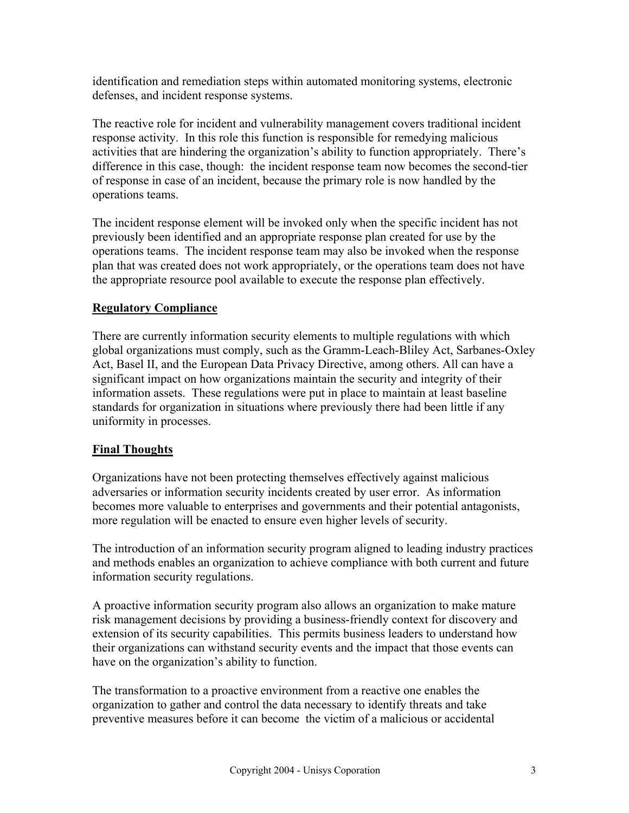identification and remediation steps within automated monitoring systems, electronic defenses, and incident response systems.

The reactive role for incident and vulnerability management covers traditional incident response activity. In this role this function is responsible for remedying malicious activities that are hindering the organization's ability to function appropriately. There's difference in this case, though: the incident response team now becomes the second-tier of response in case of an incident, because the primary role is now handled by the operations teams.

The incident response element will be invoked only when the specific incident has not previously been identified and an appropriate response plan created for use by the operations teams. The incident response team may also be invoked when the response plan that was created does not work appropriately, or the operations team does not have the appropriate resource pool available to execute the response plan effectively.

#### **Regulatory Compliance**

There are currently information security elements to multiple regulations with which global organizations must comply, such as the Gramm-Leach-Bliley Act, Sarbanes-Oxley Act, Basel II, and the European Data Privacy Directive, among others. All can have a significant impact on how organizations maintain the security and integrity of their information assets. These regulations were put in place to maintain at least baseline standards for organization in situations where previously there had been little if any uniformity in processes.

#### **Final Thoughts**

Organizations have not been protecting themselves effectively against malicious adversaries or information security incidents created by user error. As information becomes more valuable to enterprises and governments and their potential antagonists, more regulation will be enacted to ensure even higher levels of security.

The introduction of an information security program aligned to leading industry practices and methods enables an organization to achieve compliance with both current and future information security regulations.

A proactive information security program also allows an organization to make mature risk management decisions by providing a business-friendly context for discovery and extension of its security capabilities. This permits business leaders to understand how their organizations can withstand security events and the impact that those events can have on the organization's ability to function.

The transformation to a proactive environment from a reactive one enables the organization to gather and control the data necessary to identify threats and take preventive measures before it can become the victim of a malicious or accidental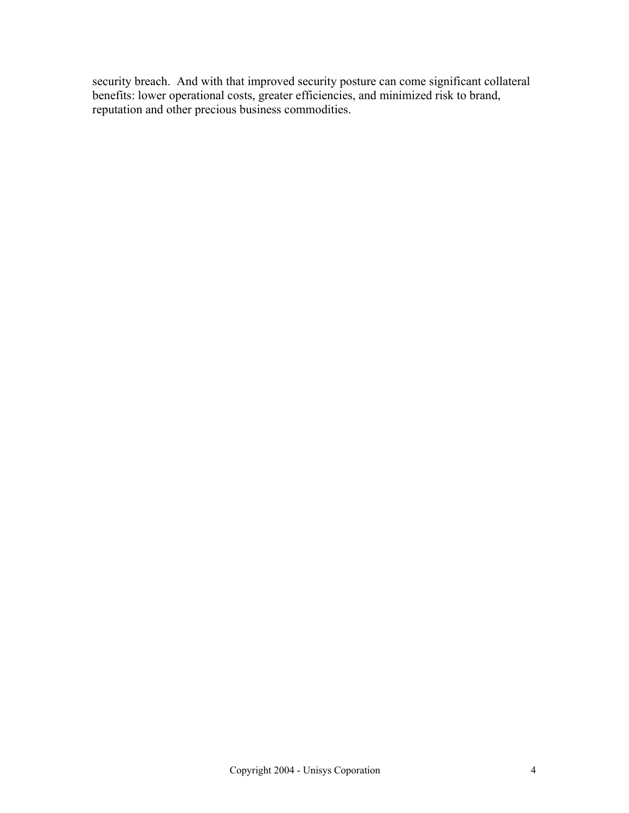security breach. And with that improved security posture can come significant collateral benefits: lower operational costs, greater efficiencies, and minimized risk to brand, reputation and other precious business commodities.